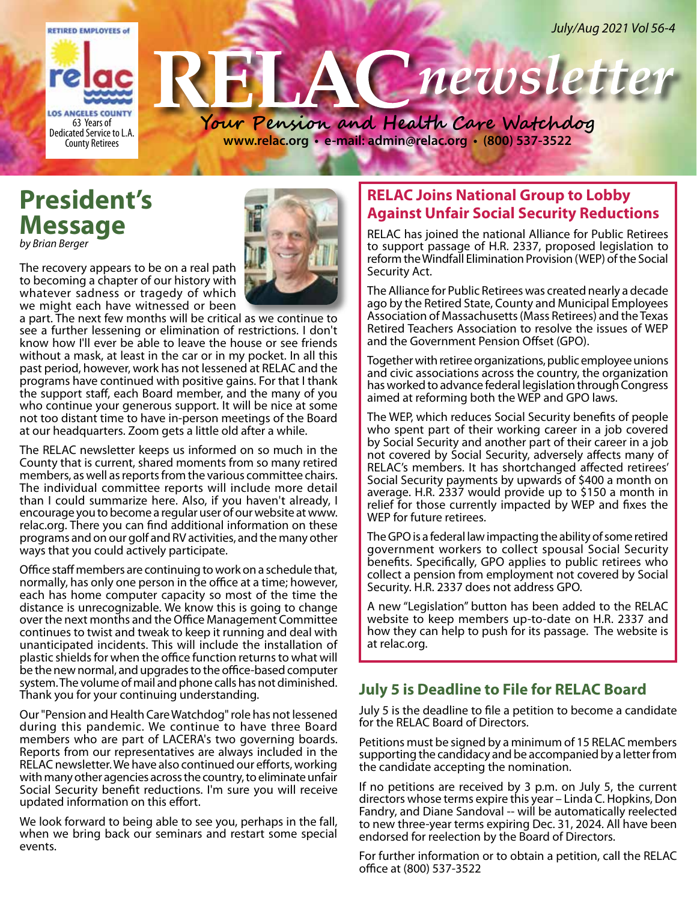

# **President's Message**

*by Brian Berger*

The recovery appears to be on a real path to becoming a chapter of our history with whatever sadness or tragedy of which we might each have witnessed or been

a part. The next few months will be critical as we continue to see a further lessening or elimination of restrictions. I don't know how I'll ever be able to leave the house or see friends without a mask, at least in the car or in my pocket. In all this past period, however, work has not lessened at RELAC and the programs have continued with positive gains. For that I thank the support staff, each Board member, and the many of you who continue your generous support. It will be nice at some not too distant time to have in-person meetings of the Board at our headquarters. Zoom gets a little old after a while.

The RELAC newsletter keeps us informed on so much in the County that is current, shared moments from so many retired members, as well as reports from the various committee chairs. The individual committee reports will include more detail than I could summarize here. Also, if you haven't already, I encourage you to become a regular user of our website at www. relac.org. There you can find additional information on these programs and on our golf and RV activities, and the many other ways that you could actively participate.

Office staff members are continuing to work on a schedule that, normally, has only one person in the office at a time; however, each has home computer capacity so most of the time the distance is unrecognizable. We know this is going to change over the next months and the Office Management Committee continues to twist and tweak to keep it running and deal with unanticipated incidents. This will include the installation of plastic shields for when the office function returns to what will be the new normal, and upgrades to the office-based computer system. The volume of mail and phone calls has not diminished. Thank you for your continuing understanding.

Our "Pension and Health Care Watchdog" role has not lessened during this pandemic. We continue to have three Board members who are part of LACERA's two governing boards. Reports from our representatives are always included in the RELAC newsletter. We have also continued our efforts, working with many other agencies across the country, to eliminate unfair Social Security benefit reductions. I'm sure you will receive updated information on this effort.

We look forward to being able to see you, perhaps in the fall, when we bring back our seminars and restart some special events.

# **RELAC Joins National Group to Lobby Against Unfair Social Security Reductions**

RELAC has joined the national Alliance for Public Retirees to support passage of H.R. 2337, proposed legislation to reform the Windfall Elimination Provision (WEP) of the Social Security Act.

The Alliance for Public Retirees was created nearly a decade ago by the Retired State, County and Municipal Employees Association of Massachusetts (Mass Retirees) and the Texas Retired Teachers Association to resolve the issues of WEP and the Government Pension Offset (GPO).

Together with retiree organizations, public employee unions and civic associations across the country, the organization has worked to advance federal legislation through Congress aimed at reforming both the WEP and GPO laws.

The WEP, which reduces Social Security benefits of people who spent part of their working career in a job covered by Social Security and another part of their career in a job not covered by Social Security, adversely affects many of RELAC's members. It has shortchanged affected retirees' Social Security payments by upwards of \$400 a month on average. H.R. 2337 would provide up to \$150 a month in relief for those currently impacted by WEP and fixes the WEP for future retirees.

The GPO is a federal law impacting the ability of some retired government workers to collect spousal Social Security benefits. Specifically, GPO applies to public retirees who collect a pension from employment not covered by Social Security. H.R. 2337 does not address GPO.

A new "Legislation" button has been added to the RELAC website to keep members up-to-date on H.R. 2337 and how they can help to push for its passage. The website is at relac.org.

# **July 5 is Deadline to File for RELAC Board**

July 5 is the deadline to file a petition to become a candidate for the RELAC Board of Directors.

Petitions must be signed by a minimum of 15 RELAC members supporting the candidacy and be accompanied by a letter from the candidate accepting the nomination.

If no petitions are received by 3 p.m. on July 5, the current directors whose terms expire this year – Linda C. Hopkins, Don Fandry, and Diane Sandoval -- will be automatically reelected to new three-year terms expiring Dec. 31, 2024. All have been endorsed for reelection by the Board of Directors.

For further information or to obtain a petition, call the RELAC office at (800) 537-3522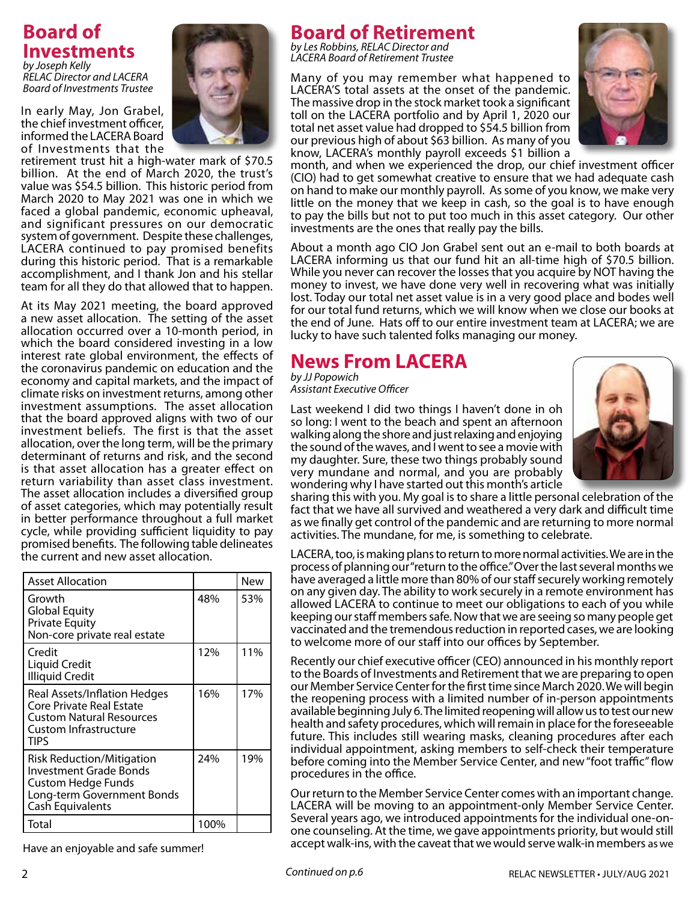# **Board of Investments**

*by Joseph Kelly RELAC Director and LACERA Board of Investments Trustee*

In early May, Jon Grabel, the chief investment officer, informed the LACERA Board of Investments that the



retirement trust hit a high-water mark of \$70.5 billion. At the end of March 2020, the trust's value was \$54.5 billion. This historic period from March 2020 to May 2021 was one in which we faced a global pandemic, economic upheaval, and significant pressures on our democratic system of government. Despite these challenges, LACERA continued to pay promised benefits during this historic period. That is a remarkable accomplishment, and I thank Jon and his stellar team for all they do that allowed that to happen.

At its May 2021 meeting, the board approved a new asset allocation. The setting of the asset allocation occurred over a 10-month period, in which the board considered investing in a low interest rate global environment, the effects of the coronavirus pandemic on education and the economy and capital markets, and the impact of climate risks on investment returns, among other investment assumptions. The asset allocation that the board approved aligns with two of our investment beliefs. The first is that the asset allocation, over the long term, will be the primary determinant of returns and risk, and the second is that asset allocation has a greater effect on return variability than asset class investment. The asset allocation includes a diversified group of asset categories, which may potentially result in better performance throughout a full market cycle, while providing sufficient liquidity to pay promised benefits. The following table delineates the current and new asset allocation.

| <b>Asset Allocation</b>                                                                                                                   |      | New |
|-------------------------------------------------------------------------------------------------------------------------------------------|------|-----|
| Growth<br><b>Global Equity</b><br><b>Private Equity</b><br>Non-core private real estate                                                   | 48%  | 53% |
| Credit<br>Liquid Credit<br><b>Illiquid Credit</b>                                                                                         | 12%  | 11% |
| Real Assets/Inflation Hedges<br>Core Private Real Estate<br><b>Custom Natural Resources</b><br>Custom Infrastructure<br>TIPS              | 16%  | 17% |
| <b>Risk Reduction/Mitigation</b><br>Investment Grade Bonds<br><b>Custom Hedge Funds</b><br>Long-term Government Bonds<br>Cash Equivalents | 24%  | 19% |
| Total                                                                                                                                     | 100% |     |

Have an enjoyable and safe summer!

**Board of Retirement** 

*by Les Robbins, RELAC Director and LACERA Board of Retirement Trustee*

Many of you may remember what happened to LACERA'S total assets at the onset of the pandemic. The massive drop in the stock market took a significant toll on the LACERA portfolio and by April 1, 2020 our total net asset value had dropped to \$54.5 billion from our previous high of about \$63 billion. As many of you know, LACERA's monthly payroll exceeds \$1 billion a



month, and when we experienced the drop, our chief investment officer (CIO) had to get somewhat creative to ensure that we had adequate cash on hand to make our monthly payroll. As some of you know, we make very little on the money that we keep in cash, so the goal is to have enough to pay the bills but not to put too much in this asset category. Our other investments are the ones that really pay the bills.

About a month ago CIO Jon Grabel sent out an e-mail to both boards at LACERA informing us that our fund hit an all-time high of \$70.5 billion. While you never can recover the losses that you acquire by NOT having the money to invest, we have done very well in recovering what was initially lost. Today our total net asset value is in a very good place and bodes well for our total fund returns, which we will know when we close our books at the end of June. Hats off to our entire investment team at LACERA; we are lucky to have such talented folks managing our money.

# **News From LACERA**

*by JJ Popowich Assistant Executive Officer*

Last weekend I did two things I haven't done in oh so long: I went to the beach and spent an afternoon walking along the shore and just relaxing and enjoying the sound of the waves, and I went to see a movie with my daughter. Sure, these two things probably sound very mundane and normal, and you are probably wondering why I have started out this month's article



sharing this with you. My goal is to share a little personal celebration of the fact that we have all survived and weathered a very dark and difficult time as we finally get control of the pandemic and are returning to more normal activities. The mundane, for me, is something to celebrate.

LACERA, too, is making plans to return to more normal activities. We are in the process of planning our "return to the office." Over the last several months we have averaged a little more than 80% of our staff securely working remotely on any given day. The ability to work securely in a remote environment has allowed LACERA to continue to meet our obligations to each of you while keeping our staff members safe. Now that we are seeing so many people get vaccinated and the tremendous reduction in reported cases, we are looking to welcome more of our staff into our offices by September.

Recently our chief executive officer (CEO) announced in his monthly report to the Boards of Investments and Retirement that we are preparing to open our Member Service Center for the first time since March 2020. We will begin the reopening process with a limited number of in-person appointments available beginning July 6. The limited reopening will allow us to test our new health and safety procedures, which will remain in place for the foreseeable future. This includes still wearing masks, cleaning procedures after each individual appointment, asking members to self-check their temperature before coming into the Member Service Center, and new "foot traffic" flow procedures in the office.

Our return to the Member Service Center comes with an important change. LACERA will be moving to an appointment-only Member Service Center. Several years ago, we introduced appointments for the individual one-onone counseling. At the time, we gave appointments priority, but would still accept walk-ins, with the caveat that we would serve walk-in members as we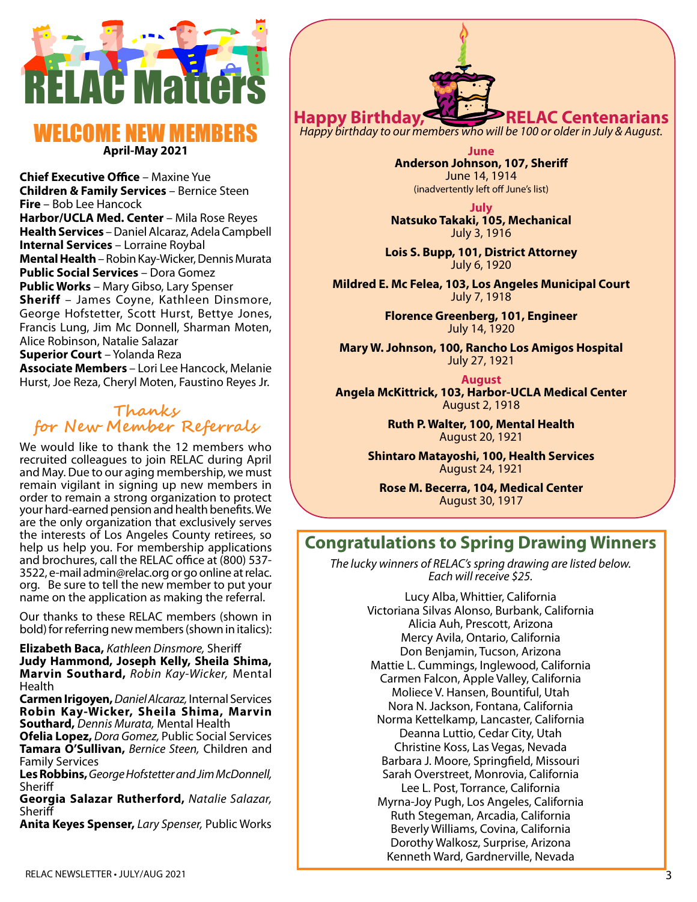

# WELCOME NEW M **April-May 2021**

**Chief Executive Office** – Maxine Yue **Children & Family Services** – Bernice Steen **Fire** – Bob Lee Hancock Harbor/UCLA Med. Center - Mila Rose Reyes **Health Services** – Daniel Alcaraz, Adela Campbell **Internal Services** – Lorraine Roybal **Mental Health** – Robin Kay-Wicker, Dennis Murata **Public Social Services** – Dora Gomez **Public Works** – Mary Gibso, Lary Spenser **Sheriff** – James Coyne, Kathleen Dinsmore, George Hofstetter, Scott Hurst, Bettye Jones, Francis Lung, Jim Mc Donnell, Sharman Moten, Alice Robinson, Natalie Salazar **Superior Court** – Yolanda Reza **Associate Members** – Lori Lee Hancock, Melanie Hurst, Joe Reza, Cheryl Moten, Faustino Reyes Jr.

# **Thanks for New Member Referrals**

We would like to thank the 12 members who recruited colleagues to join RELAC during April and May. Due to our aging membership, we must remain vigilant in signing up new members in order to remain a strong organization to protect your hard-earned pension and health benefits. We are the only organization that exclusively serves the interests of Los Angeles County retirees, so help us help you. For membership applications and brochures, call the RELAC office at (800) 537- 3522, e-mail admin@relac.org or go online at relac. org. Be sure to tell the new member to put your name on the application as making the referral.

Our thanks to these RELAC members (shown in bold) for referring new members (shown in italics):

**Elizabeth Baca,** *Kathleen Dinsmore,* Sheriff **Judy Hammond, Joseph Kelly, Sheila Shima, Marvin Southard,** *Robin Kay-Wicker,* Mental Health

**Carmen Irigoyen,***Daniel Alcaraz,* Internal Services **Robin Kay-Wicker, Sheila Shima, Marvin Southard,** *Dennis Murata,* Mental Health

**Ofelia Lopez,** *Dora Gomez,* Public Social Services **Tamara O'Sullivan,** *Bernice Steen,* Children and Family Services

**Les Robbins,** *George Hofstetter and Jim McDonnell,* **Sheriff** 

**Georgia Salazar Rutherford,** *Natalie Salazar,*  **Sheriff** 

**Anita Keyes Spenser,** *Lary Spenser,* Public Works

**Happy Birthday, RELAC Centenari** 

*Happy birthday to our members who will be 100 or older in July & August.*

**June Anderson Johnson, 107, Sheriff** June 14, 1914 (inadvertently left off June's list)

**July Natsuko Takaki, 105, Mechanical** July 3, 1916

**Lois S. Bupp, 101, District Attorney** July 6, 1920

**Mildred E. Mc Felea, 103, Los Angeles Municipal Court** July 7, 1918

> **Florence Greenberg, 101, Engineer** July 14, 1920

**Mary W. Johnson, 100, Rancho Los Amigos Hospital** July 27, 1921

**August Angela McKittrick, 103, Harbor-UCLA Medical Center** August 2, 1918

> **Ruth P. Walter, 100, Mental Health** August 20, 1921

**Shintaro Matayoshi, 100, Health Services** August 24, 1921

**Rose M. Becerra, 104, Medical Center** August 30, 1917

# **Congratulations to Spring Drawing Winners**

*The lucky winners of RELAC's spring drawing are listed below. Each will receive \$25.* 

> Lucy Alba, Whittier, California Victoriana Silvas Alonso, Burbank, California Alicia Auh, Prescott, Arizona Mercy Avila, Ontario, California Don Benjamin, Tucson, Arizona Mattie L. Cummings, Inglewood, California Carmen Falcon, Apple Valley, California Moliece V. Hansen, Bountiful, Utah Nora N. Jackson, Fontana, California Norma Kettelkamp, Lancaster, California Deanna Luttio, Cedar City, Utah Christine Koss, Las Vegas, Nevada Barbara J. Moore, Springfield, Missouri Sarah Overstreet, Monrovia, California Lee L. Post, Torrance, California Myrna-Joy Pugh, Los Angeles, California Ruth Stegeman, Arcadia, California Beverly Williams, Covina, California Dorothy Walkosz, Surprise, Arizona Kenneth Ward, Gardnerville, Nevada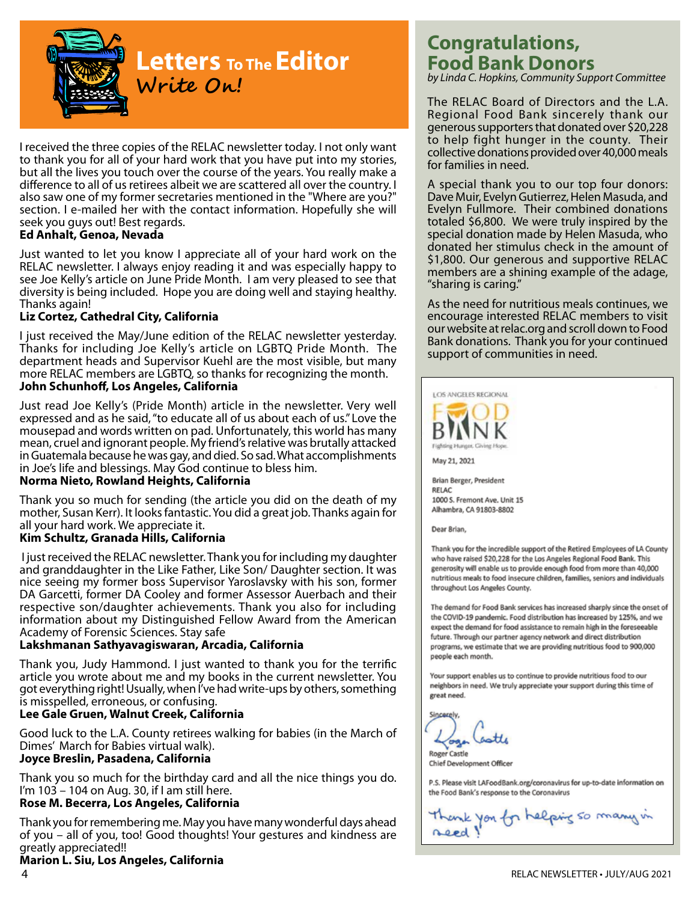

# **Letters To The Editor Write On!**

I received the three copies of the RELAC newsletter today. I not only want to thank you for all of your hard work that you have put into my stories, but all the lives you touch over the course of the years. You really make a difference to all of us retirees albeit we are scattered all over the country. I also saw one of my former secretaries mentioned in the "Where are you?" section. I e-mailed her with the contact information. Hopefully she will seek you guys out! Best regards.

## **Ed Anhalt, Genoa, Nevada**

Just wanted to let you know I appreciate all of your hard work on the RELAC newsletter. I always enjoy reading it and was especially happy to see Joe Kelly's article on June Pride Month. I am very pleased to see that diversity is being included. Hope you are doing well and staying healthy. Thanks again!

## **Liz Cortez, Cathedral City, California**

I just received the May/June edition of the RELAC newsletter yesterday. Thanks for including Joe Kelly's article on LGBTQ Pride Month. The department heads and Supervisor Kuehl are the most visible, but many more RELAC members are LGBTQ, so thanks for recognizing the month. **John Schunhoff, Los Angeles, California**

Just read Joe Kelly's (Pride Month) article in the newsletter. Very well expressed and as he said, "to educate all of us about each of us." Love the mousepad and words written on pad. Unfortunately, this world has many mean, cruel and ignorant people. My friend's relative was brutally attacked in Guatemala because he was gay, and died. So sad. What accomplishments in Joe's life and blessings. May God continue to bless him.

#### **Norma Nieto, Rowland Heights, California**

Thank you so much for sending (the article you did on the death of my mother, Susan Kerr). It looks fantastic. You did a great job. Thanks again for all your hard work. We appreciate it.

## **Kim Schultz, Granada Hills, California**

 I just received the RELAC newsletter. Thank you for including my daughter and granddaughter in the Like Father, Like Son/ Daughter section. It was nice seeing my former boss Supervisor Yaroslavsky with his son, former DA Garcetti, former DA Cooley and former Assessor Auerbach and their respective son/daughter achievements. Thank you also for including information about my Distinguished Fellow Award from the American Academy of Forensic Sciences. Stay safe

## **Lakshmanan Sathyavagiswaran, Arcadia, California**

Thank you, Judy Hammond. I just wanted to thank you for the terrific article you wrote about me and my books in the current newsletter. You got everything right! Usually, when I've had write-ups by others, something is misspelled, erroneous, or confusing.

## **Lee Gale Gruen, Walnut Creek, California**

Good luck to the L.A. County retirees walking for babies (in the March of Dimes' March for Babies virtual walk). **Joyce Breslin, Pasadena, California**

# Thank you so much for the birthday card and all the nice things you do. I'm 103 – 104 on Aug. 30, if I am still here.

# **Rose M. Becerra, Los Angeles, California**

Thank you for remembering me. May you have many wonderful days ahead of you – all of you, too! Good thoughts! Your gestures and kindness are greatly appreciated!!

# **Marion L. Siu, Los Angeles, California**

# **Congratulations, Food Bank Donors**

*by Linda C. Hopkins, Community Support Committee*

The RELAC Board of Directors and the L.A. Regional Food Bank sincerely thank our generous supporters that donated over \$20,228 to help fight hunger in the county. Their collective donations provided over 40,000 meals for families in need.

A special thank you to our top four donors: Dave Muir, Evelyn Gutierrez, Helen Masuda, and Evelyn Fullmore. Their combined donations totaled \$6,800. We were truly inspired by the special donation made by Helen Masuda, who donated her stimulus check in the amount of \$1,800. Our generous and supportive RELAC members are a shining example of the adage, "sharing is caring."

As the need for nutritious meals continues, we encourage interested RELAC members to visit our website at relac.org and scroll down to Food Bank donations. Thank you for your continued support of communities in need.



Dear Brian,

Thank you for the incredible support of the Retired Employees of LA County who have raised \$20,228 for the Los Angeles Regional Food Bank. This generosity will enable us to provide enough food from more than 40,000 nutritious meals to food insecure children, families, seniors and individuals throughout Los Angeles County.

The demand for Food Bank services has increased sharply since the onset of the COVID-19 pandemic. Food distribution has increased by 125%, and we expect the demand for food assistance to remain high in the foreseeable future. Through our partner agency network and direct distribution programs, we estimate that we are providing nutritious food to 900,000 people each month.

Your support enables us to continue to provide nutritious food to our neighbors in need. We truly appreciate your support during this time of great need.

Roger Castle

Chief Development Officer

P.S. Please visit LAFoodBank.org/coronavirus for up-to-date information on the Food Bank's response to the Coronavirus

Thank you for helping so many in reed!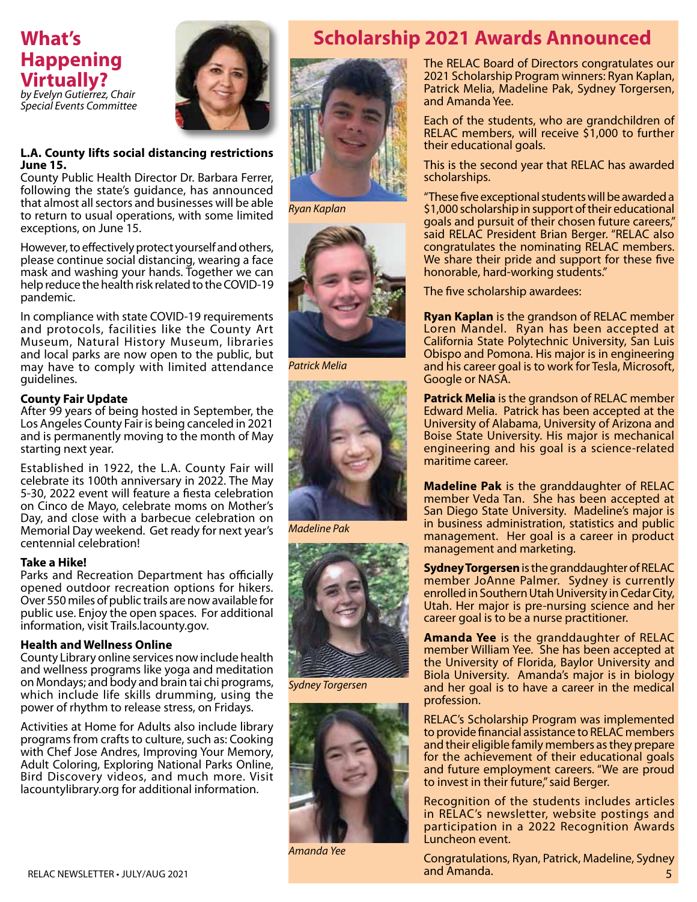# **What's Happening Virtually?** *by Evelyn Gutierrez, Chair Special Events Committee*



#### **L.A. County lifts social distancing restrictions June 15.**

County Public Health Director Dr. Barbara Ferrer, following the state's guidance, has announced that almost all sectors and businesses will be able to return to usual operations, with some limited exceptions, on June 15.

However, to effectively protect yourself and others, please continue social distancing, wearing a face mask and washing your hands. Together we can help reduce the health risk related to the COVID-19 pandemic.

In compliance with state COVID-19 requirements and protocols, facilities like the County Art Museum, Natural History Museum, libraries and local parks are now open to the public, but may have to comply with limited attendance guidelines.

## **County Fair Update**

After 99 years of being hosted in September, the Los Angeles County Fair is being canceled in 2021 and is permanently moving to the month of May starting next year.

Established in 1922, the L.A. County Fair will celebrate its 100th anniversary in 2022. The May 5-30, 2022 event will feature a fiesta celebration on Cinco de Mayo, celebrate moms on Mother's Day, and close with a barbecue celebration on Memorial Day weekend. Get ready for next year's centennial celebration!

## **Take a Hike!**

Parks and Recreation Department has officially opened outdoor recreation options for hikers. Over 550 miles of public trails are now available for public use. Enjoy the open spaces. For additional information, visit Trails.lacounty.gov.

## **Health and Wellness Online**

County Library online services now include health and wellness programs like yoga and meditation on Mondays; and body and brain tai chi programs, which include life skills drumming, using the power of rhythm to release stress, on Fridays.

Activities at Home for Adults also include library programs from crafts to culture, such as: Cooking with Chef Jose Andres, Improving Your Memory, Adult Coloring, Exploring National Parks Online, Bird Discovery videos, and much more. Visit lacountylibrary.org for additional information.



*Ryan Kaplan*



*Patrick Melia*



*Madeline Pak*



*Sydney Torgersen*



*Amanda Yee*

# **Scholarship 2021 Awards Announced**

The RELAC Board of Directors congratulates our 2021 Scholarship Program winners: Ryan Kaplan, Patrick Melia, Madeline Pak, Sydney Torgersen, and Amanda Yee.

Each of the students, who are grandchildren of RELAC members, will receive \$1,000 to further their educational goals.

This is the second year that RELAC has awarded scholarships.

"These five exceptional students will be awarded a \$1,000 scholarship in support of their educational goals and pursuit of their chosen future careers," said RELAC President Brian Berger. "RELAC also congratulates the nominating RELAC members. We share their pride and support for these five honorable, hard-working students."

The five scholarship awardees:

**Ryan Kaplan** is the grandson of RELAC member Loren Mandel. Ryan has been accepted at California State Polytechnic University, San Luis Obispo and Pomona. His major is in engineering and his career goal is to work for Tesla, Microsoft, Google or NASA.

**Patrick Melia** is the grandson of RELAC member Edward Melia. Patrick has been accepted at the University of Alabama, University of Arizona and Boise State University. His major is mechanical engineering and his goal is a science-related maritime career.

**Madeline Pak** is the granddaughter of RELAC member Veda Tan. She has been accepted at San Diego State University. Madeline's major is in business administration, statistics and public management. Her goal is a career in product management and marketing.

**Sydney Torgersen** is the granddaughter of RELAC member JoAnne Palmer. Sydney is currently enrolled in Southern Utah University in Cedar City, Utah. Her major is pre-nursing science and her career goal is to be a nurse practitioner.

**Amanda Yee** is the granddaughter of RELAC member William Yee. She has been accepted at the University of Florida, Baylor University and Biola University. Amanda's major is in biology and her goal is to have a career in the medical profession.

RELAC's Scholarship Program was implemented to provide financial assistance to RELAC members and their eligible family members as they prepare for the achievement of their educational goals and future employment careers. "We are proud to invest in their future," said Berger.

Recognition of the students includes articles in RELAC's newsletter, website postings and participation in a 2022 Recognition Awards Luncheon event.

Congratulations, Ryan, Patrick, Madeline, Sydney and Amanda. 5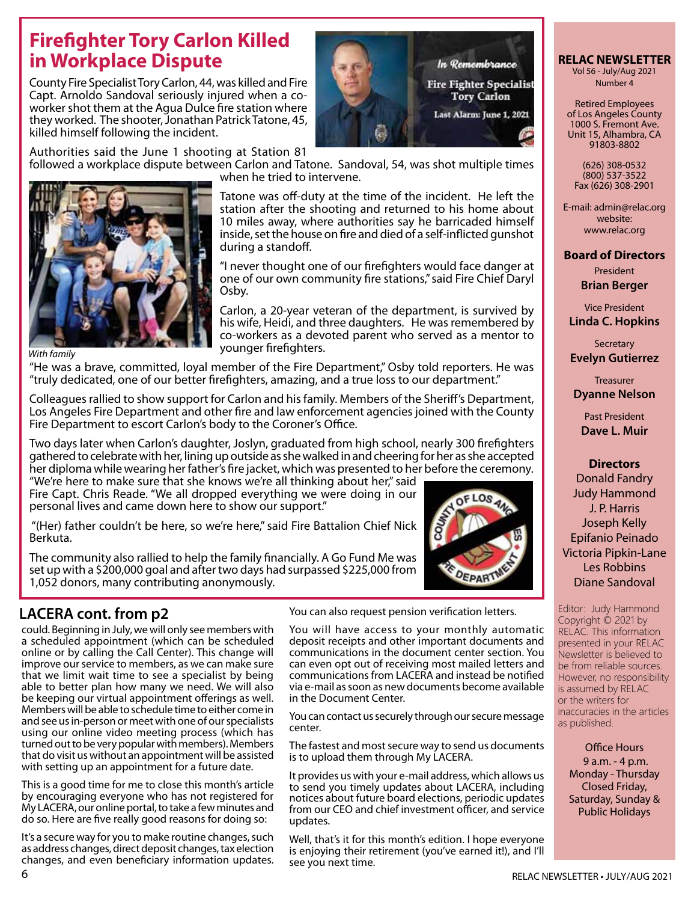# **Firefighter Tory Carlon Killed in Workplace Dispute**

County Fire Specialist Tory Carlon, 44, was killed and Fire Capt. Arnoldo Sandoval seriously injured when a coworker shot them at the Agua Dulce fire station where they worked. The shooter, Jonathan Patrick Tatone, 45, killed himself following the incident.



Authorities said the June 1 shooting at Station 81



Tatone was off-duty at the time of the incident. He left the station after the shooting and returned to his home about 10 miles away, where authorities say he barricaded himself inside, set the house on fire and died of a self-inflicted gunshot during a standoff.

"I never thought one of our firefighters would face danger at one of our own community fire stations," said Fire Chief Daryl Osby.

Carlon, a 20-year veteran of the department, is survived by his wife, Heidi, and three daughters. He was remembered by co-workers as a devoted parent who served as a mentor to younger firefighters.

*With family*

"He was a brave, committed, loyal member of the Fire Department," Osby told reporters. He was "truly dedicated, one of our better firefighters, amazing, and a true loss to our department."

when he tried to intervene.

Colleagues rallied to show support for Carlon and his family. Members of the Sheriff's Department, Los Angeles Fire Department and other fire and law enforcement agencies joined with the County Fire Department to escort Carlon's body to the Coroner's Office.

Two days later when Carlon's daughter, Joslyn, graduated from high school, nearly 300 firefighters gathered to celebrate with her, lining up outside as she walked in and cheering for her as she accepted her diploma while wearing her father's fire jacket, which was presented to her before the ceremony.

"We're here to make sure that she knows we're all thinking about her," said Fire Capt. Chris Reade. "We all dropped everything we were doing in our personal lives and came down here to show our support."

"(Her) father couldn't be here, so we're here," said Fire Battalion Chief Nick Berkuta.

The community also rallied to help the family financially. A Go Fund Me was set up with a \$200,000 goal and after two days had surpassed \$225,000 from 1,052 donors, many contributing anonymously.



# **LACERA cont. from p2**

could. Beginning in July, we will only see members with a scheduled appointment (which can be scheduled online or by calling the Call Center). This change will improve our service to members, as we can make sure that we limit wait time to see a specialist by being able to better plan how many we need. We will also be keeping our virtual appointment offerings as well. Members will be able to schedule time to either come in and see us in-person or meet with one of our specialists using our online video meeting process (which has turned out to be very popular with members). Members that do visit us without an appointment will be assisted with setting up an appointment for a future date.

This is a good time for me to close this month's article by encouraging everyone who has not registered for My LACERA, our online portal, to take a few minutes and do so. Here are five really good reasons for doing so:

It's a secure way for you to make routine changes, such as address changes, direct deposit changes, tax election changes, and even beneficiary information updates.

You can also request pension verification letters.

You will have access to your monthly automatic deposit receipts and other important documents and communications in the document center section. You can even opt out of receiving most mailed letters and communications from LACERA and instead be notified via e-mail as soon as new documents become available in the Document Center.

You can contact us securely through our secure message center.

The fastest and most secure way to send us documents is to upload them through My LACERA.

It provides us with your e-mail address, which allows us to send you timely updates about LACERA, including notices about future board elections, periodic updates from our CEO and chief investment officer, and service updates.

Well, that's it for this month's edition. I hope everyone is enjoying their retirement (you've earned it!), and I'll see you next time.

## **RELAC NEWSLETTER**  Vol 56 - July/Aug 2021

Number 4

Retired Employees of Los Angeles County 1000 S. Fremont Ave. Unit 15, Alhambra, CA 91803-8802

(626) 308-0532 (800) 537-3522 Fax (626) 308-2901

E-mail: admin@relac.org website: www.relac.org

# **Board of Directors**

President **Brian Berger**

Vice President **Linda C. Hopkins**

**Secretary Evelyn Gutierrez**

Treasurer **Dyanne Nelson**

Past President **Dave L. Muir**

## **Directors**

Donald Fandry Judy Hammond J. P. Harris Joseph Kelly Epifanio Peinado Victoria Pipkin-Lane Les Robbins Diane Sandoval

Editor: Judy Hammond Copyright © 2021 by RELAC. This information presented in your RELAC Newsletter is believed to be from reliable sources. However, no responsibility is assumed by RELAC or the writers for inaccuracies in the articles as published.

Office Hours

9 a.m. - 4 p.m. Monday - Thursday Closed Friday, Saturday, Sunday & Public Holidays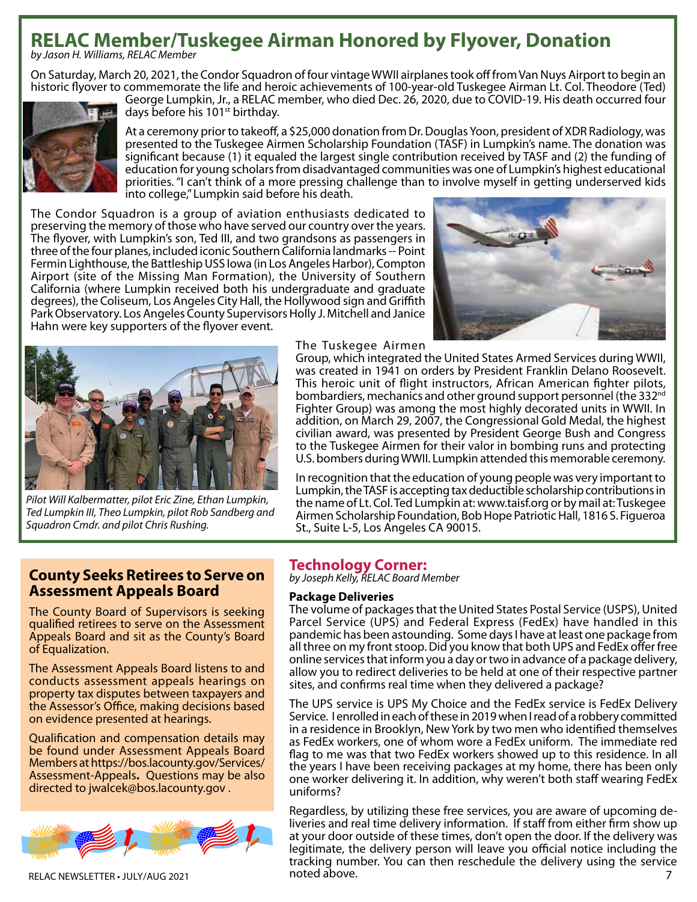# **RELAC Member/Tuskegee Airman Honored by Flyover, Donation**

*by Jason H. Williams, RELAC Member*

On Saturday, March 20, 2021, the Condor Squadron of four vintage WWII airplanes took off from Van Nuys Airport to begin an historic flyover to commemorate the life and heroic achievements of 100-year-old Tuskegee Airman Lt. Col. Theodore (Ted)



George Lumpkin, Jr., a RELAC member, who died Dec. 26, 2020, due to COVID-19. His death occurred four days before his 101<sup>st</sup> birthday.

At a ceremony prior to takeoff, a \$25,000 donation from Dr. Douglas Yoon, president of XDR Radiology, was presented to the Tuskegee Airmen Scholarship Foundation (TASF) in Lumpkin's name. The donation was significant because (1) it equaled the largest single contribution received by TASF and (2) the funding of education for young scholars from disadvantaged communities was one of Lumpkin's highest educational priorities. "I can't think of a more pressing challenge than to involve myself in getting underserved kids into college," Lumpkin said before his death.

The Condor Squadron is a group of aviation enthusiasts dedicated to preserving the memory of those who have served our country over the years. The flyover, with Lumpkin's son, Ted III, and two grandsons as passengers in three of the four planes, included iconic Southern California landmarks -- Point Fermin Lighthouse, the Battleship USS Iowa (in Los Angeles Harbor), Compton Airport (site of the Missing Man Formation), the University of Southern California (where Lumpkin received both his undergraduate and graduate degrees), the Coliseum, Los Angeles City Hall, the Hollywood sign and Griffith Park Observatory. Los Angeles County Supervisors Holly J. Mitchell and Janice Hahn were key supporters of the flyover event.





*Pilot Will Kalbermatter, pilot Eric Zine, Ethan Lumpkin, Ted Lumpkin III, Theo Lumpkin, pilot Rob Sandberg and Squadron Cmdr. and pilot Chris Rushing.*

#### The Tuskegee Airmen

Group, which integrated the United States Armed Services during WWII, was created in 1941 on orders by President Franklin Delano Roosevelt. This heroic unit of flight instructors, African American fighter pilots, bombardiers, mechanics and other ground support personnel (the 332<sup>nd</sup> Fighter Group) was among the most highly decorated units in WWII. In addition, on March 29, 2007, the Congressional Gold Medal, the highest civilian award, was presented by President George Bush and Congress to the Tuskegee Airmen for their valor in bombing runs and protecting U.S. bombers during WWII. Lumpkin attended this memorable ceremony.

In recognition that the education of young people was very important to Lumpkin, the TASF is accepting tax deductible scholarship contributions in the name of Lt. Col. Ted Lumpkin at: www.taisf.org or by mail at: Tuskegee Airmen Scholarship Foundation, Bob Hope Patriotic Hall, 1816 S. Figueroa St., Suite L-5, Los Angeles CA 90015.

# **County Seeks Retirees to Serve on Assessment Appeals Board**

The County Board of Supervisors is seeking qualified retirees to serve on the Assessment Appeals Board and sit as the County's Board of Equalization.

The Assessment Appeals Board listens to and conducts assessment appeals hearings on property tax disputes between taxpayers and the Assessor's Office, making decisions based on evidence presented at hearings.

Qualification and compensation details may be found under Assessment Appeals Board Members athttps://bos.lacounty.gov/Services/ Assessment-Appeals**.** Questions may be also directed to jwalcek@bos.lacounty.gov .



# **Technology Corner:**

*by Joseph Kelly, RELAC Board Member*

## **Package Deliveries**

The volume of packages that the United States Postal Service (USPS), United Parcel Service (UPS) and Federal Express (FedEx) have handled in this pandemic has been astounding. Some days I have at least one package from all three on my front stoop. Did you know that both UPS and FedEx offer free online services that inform you a day or two in advance of a package delivery, allow you to redirect deliveries to be held at one of their respective partner sites, and confirms real time when they delivered a package?

The UPS service is UPS My Choice and the FedEx service is FedEx Delivery Service. I enrolled in each of these in 2019 when I read of a robbery committed in a residence in Brooklyn, New York by two men who identified themselves as FedEx workers, one of whom wore a FedEx uniform. The immediate red flag to me was that two FedEx workers showed up to this residence. In all the years I have been receiving packages at my home, there has been only one worker delivering it. In addition, why weren't both staff wearing FedEx uniforms?

RELAC NEWSLETTER • July/aug 2021 7 Regardless, by utilizing these free services, you are aware of upcoming deliveries and real time delivery information. If staff from either firm show up at your door outside of these times, don't open the door. If the delivery was legitimate, the delivery person will leave you official notice including the tracking number. You can then reschedule the delivery using the service noted above.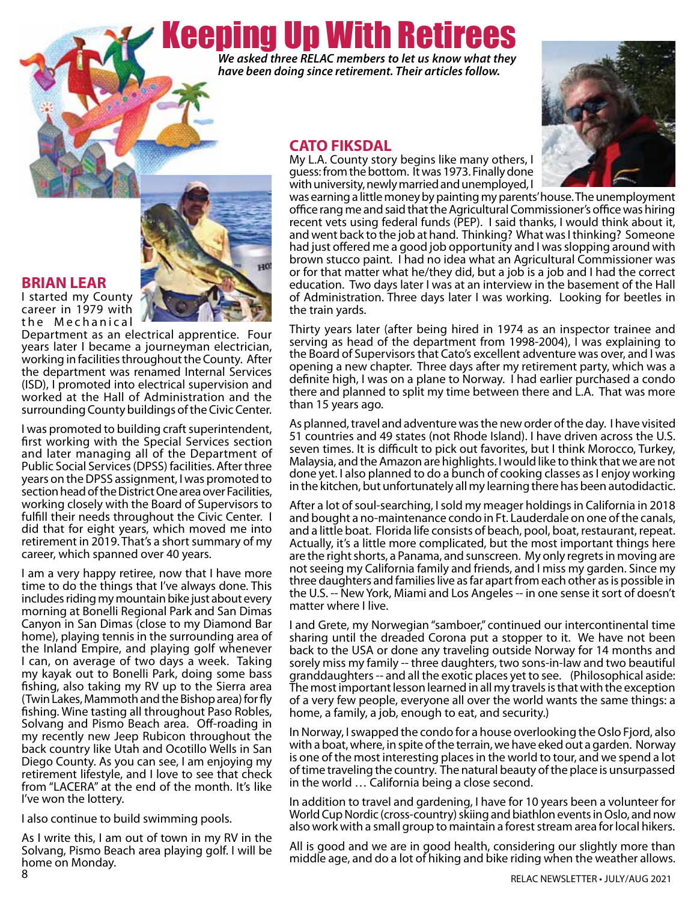# Keeping Up With Retirees *We asked three RELAC members to let us know what they*

*have been doing since retirement. Their articles follow.*

# **CATO FIKSDAL**

**HO** 





office rang me and said that the Agricultural Commissioner's office was hiring recent vets using federal funds (PEP). I said thanks, I would think about it, and went back to the job at hand. Thinking? What was I thinking? Someone had just offered me a good job opportunity and I was slopping around with brown stucco paint. I had no idea what an Agricultural Commissioner was or for that matter what he/they did, but a job is a job and I had the correct education. Two days later I was at an interview in the basement of the Hall of Administration. Three days later I was working. Looking for beetles in the train yards.

Thirty years later (after being hired in 1974 as an inspector trainee and serving as head of the department from 1998-2004), I was explaining to the Board of Supervisors that Cato's excellent adventure was over, and I was opening a new chapter. Three days after my retirement party, which was a definite high, I was on a plane to Norway. I had earlier purchased a condo there and planned to split my time between there and L.A. That was more than 15 years ago.

As planned, travel and adventure was the new order of the day. I have visited 51 countries and 49 states (not Rhode Island). I have driven across the U.S. seven times. It is difficult to pick out favorites, but I think Morocco, Turkey, Malaysia, and the Amazon are highlights. I would like to think that we are not done yet. I also planned to do a bunch of cooking classes as I enjoy working in the kitchen, but unfortunately all my learning there has been autodidactic.

After a lot of soul-searching, I sold my meager holdings in California in 2018 and bought a no-maintenance condo in Ft. Lauderdale on one of the canals, and a little boat. Florida life consists of beach, pool, boat, restaurant, repeat. Actually, it's a little more complicated, but the most important things here are the right shorts, a Panama, and sunscreen. My only regrets in moving are not seeing my California family and friends, and I miss my garden. Since my three daughters and families live as far apart from each other as is possible in the U.S. -- New York, Miami and Los Angeles -- in one sense it sort of doesn't matter where I live.

I and Grete, my Norwegian "samboer," continued our intercontinental time sharing until the dreaded Corona put a stopper to it. We have not been back to the USA or done any traveling outside Norway for 14 months and sorely miss my family -- three daughters, two sons-in-law and two beautiful granddaughters -- and all the exotic places yet to see. (Philosophical aside: The most important lesson learned in all my travels is that with the exception of a very few people, everyone all over the world wants the same things: a home, a family, a job, enough to eat, and security.)

In Norway, I swapped the condo for a house overlooking the Oslo Fjord, also with a boat, where, in spite of the terrain, we have eked out a garden. Norway is one of the most interesting places in the world to tour, and we spend a lot of time traveling the country. The natural beauty of the place is unsurpassed in the world … California being a close second.

In addition to travel and gardening, I have for 10 years been a volunteer for World Cup Nordic (cross-country) skiing and biathlon events in Oslo, and now also work with a small group to maintain a forest stream area for local hikers.

All is good and we are in good health, considering our slightly more than middle age, and do a lot of hiking and bike riding when the weather allows.

# **BRIAN LEAR**

I started my County career in 1979 with the Mechanical

Department as an electrical apprentice. Four years later I became a journeyman electrician, working in facilities throughout the County. After the department was renamed Internal Services (ISD), I promoted into electrical supervision and worked at the Hall of Administration and the surrounding County buildings of the Civic Center.

I was promoted to building craft superintendent, first working with the Special Services section and later managing all of the Department of Public Social Services (DPSS) facilities. After three years on the DPSS assignment, I was promoted to section head of the District One area over Facilities, working closely with the Board of Supervisors to fulfill their needs throughout the Civic Center. I did that for eight years, which moved me into retirement in 2019. That's a short summary of my career, which spanned over 40 years.

I am a very happy retiree, now that I have more time to do the things that I've always done. This includes riding my mountain bike just about every morning at Bonelli Regional Park and San Dimas Canyon in San Dimas (close to my Diamond Bar home), playing tennis in the surrounding area of the Inland Empire, and playing golf whenever I can, on average of two days a week. Taking my kayak out to Bonelli Park, doing some bass fishing, also taking my RV up to the Sierra area (Twin Lakes, Mammoth and the Bishop area) for fly fishing. Wine tasting all throughout Paso Robles, Solvang and Pismo Beach area. Off-roading in my recently new Jeep Rubicon throughout the back country like Utah and Ocotillo Wells in San Diego County. As you can see, I am enjoying my retirement lifestyle, and I love to see that check from "LACERA" at the end of the month. It's like I've won the lottery.

I also continue to build swimming pools.

8 As I write this, I am out of town in my RV in the Solvang, Pismo Beach area playing golf. I will be home on Monday.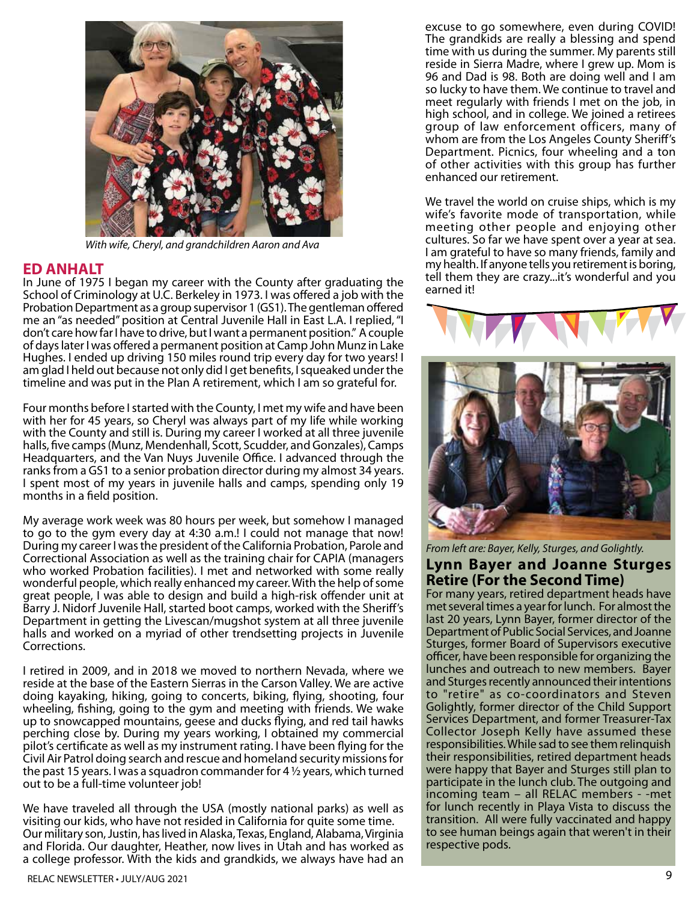

*With wife, Cheryl, and grandchildren Aaron and Ava*

# **ED ANHALT**

In June of 1975 I began my career with the County after graduating the School of Criminology at U.C. Berkeley in 1973. I was offered a job with the Probation Department as a group supervisor 1 (GS1). The gentleman offered me an "as needed" position at Central Juvenile Hall in East L.A. I replied, "I don't care how far I have to drive, but I want a permanent position." A couple of days later I was offered a permanent position at Camp John Munz in Lake Hughes. I ended up driving 150 miles round trip every day for two years! I am glad I held out because not only did I get benefits, I squeaked under the timeline and was put in the Plan A retirement, which I am so grateful for.

Four months before I started with the County, I met my wife and have been with her for 45 years, so Cheryl was always part of my life while working with the County and still is. During my career I worked at all three juvenile halls, five camps (Munz, Mendenhall, Scott, Scudder, and Gonzales), Camps Headquarters, and the Van Nuys Juvenile Office. I advanced through the ranks from a GS1 to a senior probation director during my almost 34 years. I spent most of my years in juvenile halls and camps, spending only 19 months in a field position.

My average work week was 80 hours per week, but somehow I managed to go to the gym every day at 4:30 a.m.! I could not manage that now! During my career I was the president of the California Probation, Parole and Correctional Association as well as the training chair for CAPIA (managers who worked Probation facilities). I met and networked with some really wonderful people, which really enhanced my career. With the help of some great people, I was able to design and build a high-risk offender unit at Barry J. Nidorf Juvenile Hall, started boot camps, worked with the Sheriff's Department in getting the Livescan/mugshot system at all three juvenile halls and worked on a myriad of other trendsetting projects in Juvenile Corrections.

I retired in 2009, and in 2018 we moved to northern Nevada, where we reside at the base of the Eastern Sierras in the Carson Valley. We are active doing kayaking, hiking, going to concerts, biking, flying, shooting, four wheeling, fishing, going to the gym and meeting with friends. We wake up to snowcapped mountains, geese and ducks flying, and red tail hawks perching close by. During my years working, I obtained my commercial pilot's certificate as well as my instrument rating. I have been flying for the Civil Air Patrol doing search and rescue and homeland security missions for the past 15 years. I was a squadron commander for 4  $\frac{1}{2}$  years, which turned out to be a full-time volunteer job!

We have traveled all through the USA (mostly national parks) as well as visiting our kids, who have not resided in California for quite some time. Our military son, Justin, has lived in Alaska, Texas, England, Alabama, Virginia and Florida. Our daughter, Heather, now lives in Utah and has worked as a college professor. With the kids and grandkids, we always have had an

excuse to go somewhere, even during COVID! The grandkids are really a blessing and spend time with us during the summer. My parents still reside in Sierra Madre, where I grew up. Mom is 96 and Dad is 98. Both are doing well and I am so lucky to have them. We continue to travel and meet regularly with friends I met on the job, in high school, and in college. We joined a retirees group of law enforcement officers, many of whom are from the Los Angeles County Sheriff's Department. Picnics, four wheeling and a ton of other activities with this group has further enhanced our retirement.

We travel the world on cruise ships, which is my wife's favorite mode of transportation, while meeting other people and enjoying other cultures. So far we have spent over a year at sea. I am grateful to have so many friends, family and my health. If anyone tells you retirement is boring, tell them they are crazy...it's wonderful and you earned it!





*From left are: Bayer, Kelly, Sturges, and Golightly.*

## **Lynn Bayer and Joanne Sturges Retire (For the Second Time)**

For many years, retired department heads have met several times a year for lunch. For almost the last 20 years, Lynn Bayer, former director of the Department of Public Social Services, and Joanne Sturges, former Board of Supervisors executive officer, have been responsible for organizing the lunches and outreach to new members. Bayer and Sturges recently announced their intentions to "retire" as co-coordinators and Steven Golightly, former director of the Child Support Services Department, and former Treasurer-Tax Collector Joseph Kelly have assumed these responsibilities. While sad to see them relinquish their responsibilities, retired department heads were happy that Bayer and Sturges still plan to participate in the lunch club. The outgoing and incoming team – all RELAC members - -met for lunch recently in Playa Vista to discuss the transition. All were fully vaccinated and happy to see human beings again that weren't in their respective pods.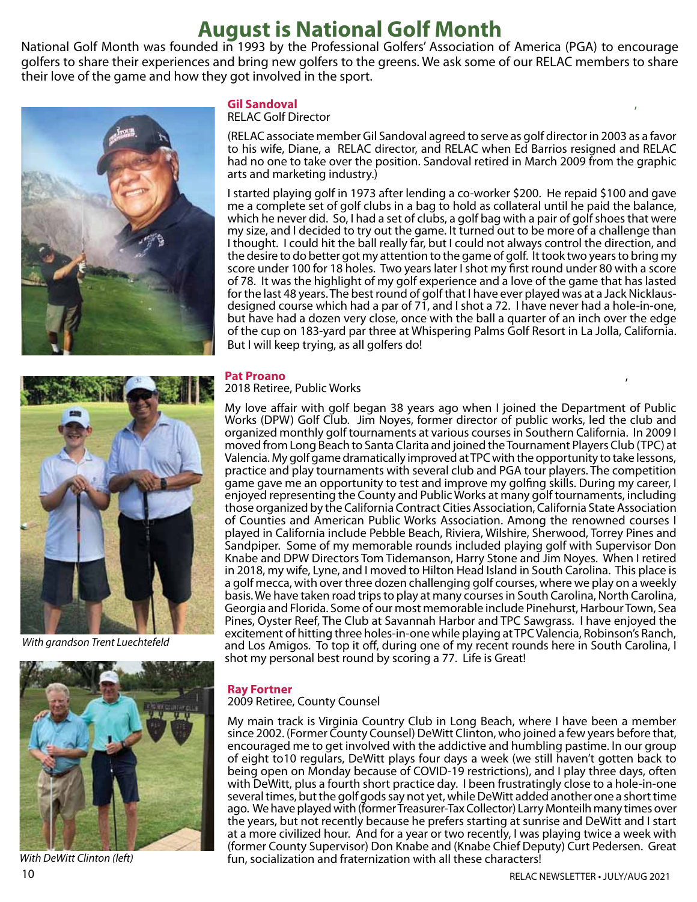# **August is National Golf Month**

National Golf Month was founded in 1993 by the Professional Golfers' Association of America (PGA) to encourage golfers to share their experiences and bring new golfers to the greens. We ask some of our RELAC members to share their love of the game and how they got involved in the sport.





*With grandson Trent Luechtefeld*



*With DeWitt Clinton (left)*

## **Gil Sandoval** ,

## RELAC Golf Director

(RELAC associate member Gil Sandoval agreed to serve as golf director in 2003 as a favor to his wife, Diane, a RELAC director, and RELAC when Ed Barrios resigned and RELAC had no one to take over the position. Sandoval retired in March 2009 from the graphic arts and marketing industry.)

I started playing golf in 1973 after lending a co-worker \$200. He repaid \$100 and gave me a complete set of golf clubs in a bag to hold as collateral until he paid the balance, which he never did. So, I had a set of clubs, a golf bag with a pair of golf shoes that were my size, and I decided to try out the game. It turned out to be more of a challenge than I thought. I could hit the ball really far, but I could not always control the direction, and the desire to do better got my attention to the game of golf. It took two years to bring my score under 100 for 18 holes. Two years later I shot my first round under 80 with a score of 78. It was the highlight of my golf experience and a love of the game that has lasted for the last 48 years. The best round of golf that I have ever played was at a Jack Nicklausdesigned course which had a par of 71, and I shot a 72. I have never had a hole-in-one, but have had a dozen very close, once with the ball a quarter of an inch over the edge of the cup on 183-yard par three at Whispering Palms Golf Resort in La Jolla, California. But I will keep trying, as all golfers do!

# **Pat Proano**<br>2018 Retiree, Public Works

My love affair with golf began 38 years ago when I joined the Department of Public Works (DPW) Golf Club. Jim Noyes, former director of public works, led the club and organized monthly golf tournaments at various courses in Southern California. In 2009 I moved from Long Beach to Santa Clarita and joined the Tournament Players Club (TPC) at Valencia. My golf game dramatically improved at TPC with the opportunity to take lessons, practice and play tournaments with several club and PGA tour players. The competition game gave me an opportunity to test and improve my golfing skills. During my career, I enjoyed representing the County and Public Works at many golf tournaments, including those organized by the California Contract Cities Association, California State Association of Counties and American Public Works Association. Among the renowned courses I played in California include Pebble Beach, Riviera, Wilshire, Sherwood, Torrey Pines and Sandpiper. Some of my memorable rounds included playing golf with Supervisor Don Knabe and DPW Directors Tom Tidemanson, Harry Stone and Jim Noyes. When I retired in 2018, my wife, Lyne, and I moved to Hilton Head Island in South Carolina. This place is a golf mecca, with over three dozen challenging golf courses, where we play on a weekly basis. We have taken road trips to play at many courses in South Carolina, North Carolina, Georgia and Florida. Some of our most memorable include Pinehurst, Harbour Town, Sea Pines, Oyster Reef, The Club at Savannah Harbor and TPC Sawgrass. I have enjoyed the excitement of hitting three holes-in-one while playing at TPC Valencia, Robinson's Ranch, and Los Amigos. To top it off, during one of my recent rounds here in South Carolina, I shot my personal best round by scoring a 77. Life is Great!

# **Ray Fortner**

2009 Retiree, County Counsel

My main track is Virginia Country Club in Long Beach, where I have been a member since 2002. (Former County Counsel) DeWitt Clinton, who joined a few years before that, encouraged me to get involved with the addictive and humbling pastime. In our group of eight to10 regulars, DeWitt plays four days a week (we still haven't gotten back to being open on Monday because of COVID-19 restrictions), and I play three days, often with DeWitt, plus a fourth short practice day. I been frustratingly close to a hole-in-one several times, but the golf gods say not yet, while DeWitt added another one a short time ago. We have played with (former Treasurer-Tax Collector) Larry Monteilh many times over the years, but not recently because he prefers starting at sunrise and DeWitt and I start at a more civilized hour. And for a year or two recently, I was playing twice a week with (former County Supervisor) Don Knabe and (Knabe Chief Deputy) Curt Pedersen. Great fun, socialization and fraternization with all these characters!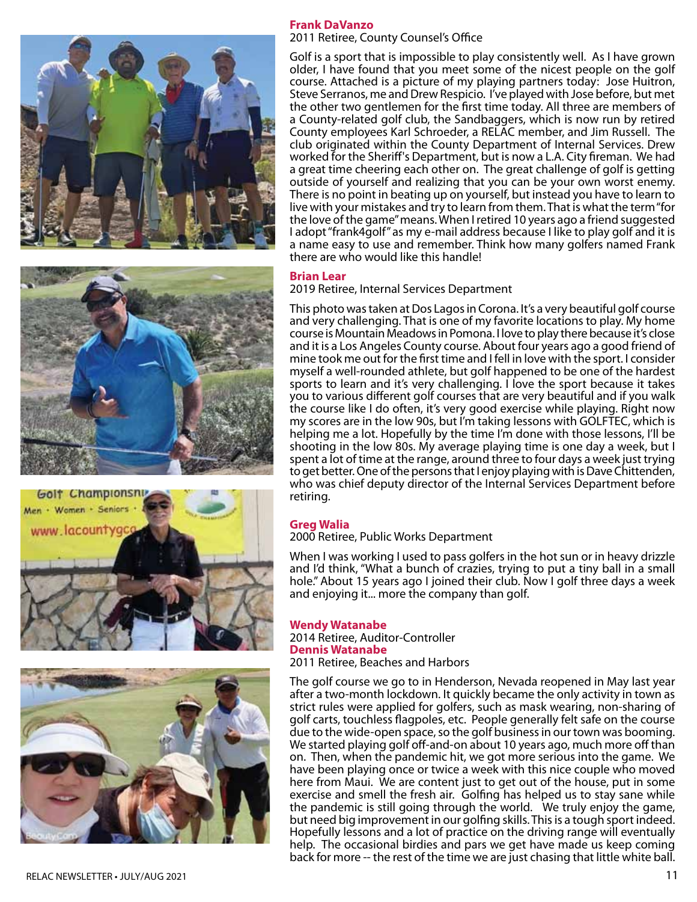







## **Frank DaVanzo**

2011 Retiree, County Counsel's Office

Golf is a sport that is impossible to play consistently well. As I have grown older, I have found that you meet some of the nicest people on the golf course. Attached is a picture of my playing partners today: Jose Huitron, Steve Serranos, me and Drew Respicio. I've played with Jose before, but met the other two gentlemen for the first time today. All three are members of a County-related golf club, the Sandbaggers, which is now run by retired County employees Karl Schroeder, a RELAC member, and Jim Russell. The club originated within the County Department of Internal Services. Drew worked for the Sheriff's Department, but is now a L.A. City fireman. We had a great time cheering each other on. The great challenge of golf is getting outside of yourself and realizing that you can be your own worst enemy. There is no point in beating up on yourself, but instead you have to learn to live with your mistakes and try to learn from them. That is what the term "for the love of the game" means. When I retired 10 years ago a friend suggested I adopt "frank4golf" as my e-mail address because I like to play golf and it is a name easy to use and remember. Think how many golfers named Frank there are who would like this handle!

#### **Brian Lear**

2019 Retiree, Internal Services Department

This photo was taken at Dos Lagos in Corona. It's a very beautiful golf course and very challenging. That is one of my favorite locations to play. My home course is Mountain Meadows in Pomona. I love to play there because it's close and it is a Los Angeles County course. About four years ago a good friend of mine took me out for the first time and I fell in love with the sport. I consider myself a well-rounded athlete, but golf happened to be one of the hardest sports to learn and it's very challenging. I love the sport because it takes you to various different golf courses that are very beautiful and if you walk the course like I do often, it's very good exercise while playing. Right now my scores are in the low 90s, but I'm taking lessons with GOLFTEC, which is helping me a lot. Hopefully by the time I'm done with those lessons, I'll be shooting in the low 80s. My average playing time is one day a week, but I spent a lot of time at the range, around three to four days a week just trying to get better. One of the persons that I enjoy playing with is Dave Chittenden, who was chief deputy director of the Internal Services Department before retiring.

#### **Greg Walia**

2000 Retiree, Public Works Department

When I was working I used to pass golfers in the hot sun or in heavy drizzle and I'd think, "What a bunch of crazies, trying to put a tiny ball in a small hole." About 15 years ago I joined their club. Now I golf three days a week and enjoying it... more the company than golf.

#### **Wendy Watanabe**

2014 Retiree, Auditor-Controller **Dennis Watanabe** 2011 Retiree, Beaches and Harbors

The golf course we go to in Henderson, Nevada reopened in May last year after a two-month lockdown. It quickly became the only activity in town as strict rules were applied for golfers, such as mask wearing, non-sharing of golf carts, touchless flagpoles, etc. People generally felt safe on the course due to the wide-open space, so the golf business in our town was booming. We started playing golf off-and-on about 10 years ago, much more off than on. Then, when the pandemic hit, we got more serious into the game. We have been playing once or twice a week with this nice couple who moved here from Maui. We are content just to get out of the house, put in some exercise and smell the fresh air. Golfing has helped us to stay sane while the pandemic is still going through the world. We truly enjoy the game, but need big improvement in our golfing skills. This is a tough sport indeed. Hopefully lessons and a lot of practice on the driving range will eventually help. The occasional birdies and pars we get have made us keep coming back for more -- the rest of the time we are just chasing that little white ball.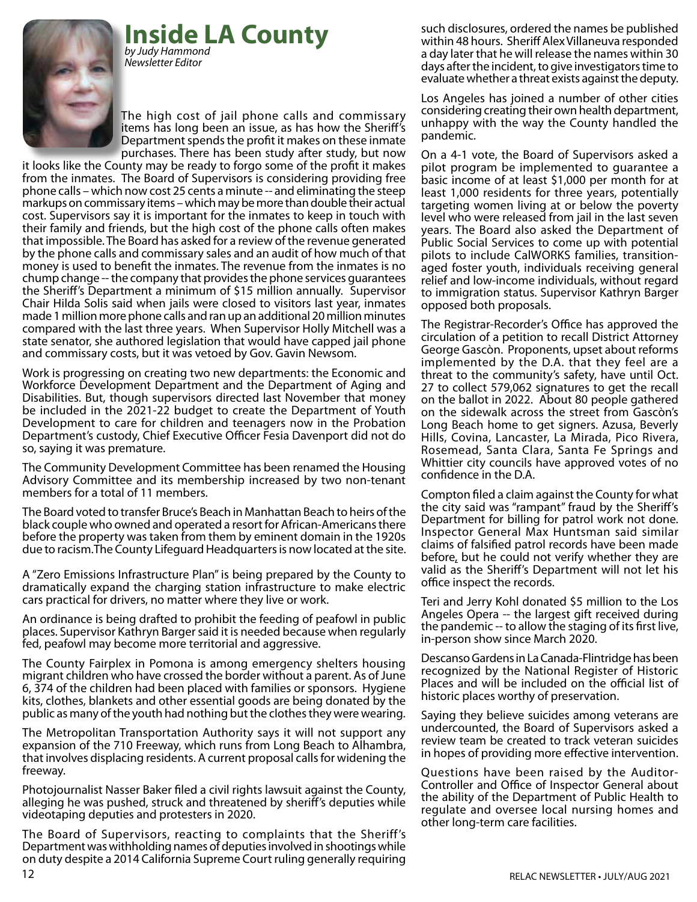**Inside LA County** *by Judy Hammond*

*Newsletter Editor*



The high cost of jail phone calls and commissary items has long been an issue, as has how the Sheriff's Department spends the profit it makes on these inmate purchases. There has been study after study, but now

it looks like the County may be ready to forgo some of the profit it makes from the inmates. The Board of Supervisors is considering providing free phone calls – which now cost 25 cents a minute -- and eliminating the steep markups on commissary items – which may be more than double their actual cost. Supervisors say it is important for the inmates to keep in touch with their family and friends, but the high cost of the phone calls often makes that impossible. The Board has asked for a review of the revenue generated by the phone calls and commissary sales and an audit of how much of that money is used to benefit the inmates. The revenue from the inmates is no chump change -- the company that provides the phone services guarantees the Sheriff's Department a minimum of \$15 million annually. Supervisor Chair Hilda Solis said when jails were closed to visitors last year, inmates made 1 million more phone calls and ran up an additional 20 million minutes compared with the last three years. When Supervisor Holly Mitchell was a state senator, she authored legislation that would have capped jail phone and commissary costs, but it was vetoed by Gov. Gavin Newsom.

Work is progressing on creating two new departments: the Economic and Workforce Development Department and the Department of Aging and Disabilities. But, though supervisors directed last November that money be included in the 2021-22 budget to create the Department of Youth Development to care for children and teenagers now in the Probation Department's custody, Chief Executive Officer Fesia Davenport did not do so, saying it was premature.

The Community Development Committee has been renamed the Housing Advisory Committee and its membership increased by two non-tenant members for a total of 11 members.

The Board voted to transfer Bruce's Beach in Manhattan Beach to heirs of the black couple who owned and operated a resort for African-Americans there before the property was taken from them by eminent domain in the 1920s due to racism.The County Lifeguard Headquarters is now located at the site.

A "Zero Emissions Infrastructure Plan" is being prepared by the County to dramatically expand the charging station infrastructure to make electric cars practical for drivers, no matter where they live or work.

An ordinance is being drafted to prohibit the feeding of peafowl in public places. Supervisor Kathryn Barger said it is needed because when regularly fed, peafowl may become more territorial and aggressive.

The County Fairplex in Pomona is among emergency shelters housing migrant children who have crossed the border without a parent. As of June 6, 374 of the children had been placed with families or sponsors. Hygiene kits, clothes, blankets and other essential goods are being donated by the public as many of the youth had nothing but the clothes they were wearing.

The Metropolitan Transportation Authority says it will not support any expansion of the 710 Freeway, which runs from Long Beach to Alhambra, that involves displacing residents. A current proposal calls for widening the freeway.

Photojournalist Nasser Baker filed a civil rights lawsuit against the County, alleging he was pushed, struck and threatened by sheriff's deputies while videotaping deputies and protesters in 2020.

The Board of Supervisors, reacting to complaints that the Sheriff's Department was withholding names of deputies involved in shootings while on duty despite a 2014 California Supreme Court ruling generally requiring such disclosures, ordered the names be published within 48 hours. Sheriff Alex Villaneuva responded a day later that he will release the names within 30 days after the incident, to give investigators time to evaluate whether a threat exists against the deputy.

Los Angeles has joined a number of other cities considering creating their own health department, unhappy with the way the County handled the pandemic.

On a 4-1 vote, the Board of Supervisors asked a pilot program be implemented to guarantee a basic income of at least \$1,000 per month for at least 1,000 residents for three years, potentially targeting women living at or below the poverty level who were released from jail in the last seven years. The Board also asked the Department of Public Social Services to come up with potential pilots to include CalWORKS families, transitionaged foster youth, individuals receiving general relief and low-income individuals, without regard to immigration status. Supervisor Kathryn Barger opposed both proposals.

The Registrar-Recorder's Office has approved the circulation of a petition to recall District Attorney George Gascòn. Proponents, upset about reforms implemented by the D.A. that they feel are a threat to the community's safety, have until Oct. 27 to collect 579,062 signatures to get the recall on the ballot in 2022. About 80 people gathered on the sidewalk across the street from Gascòn's Long Beach home to get signers. Azusa, Beverly Hills, Covina, Lancaster, La Mirada, Pico Rivera, Rosemead, Santa Clara, Santa Fe Springs and Whittier city councils have approved votes of no confidence in the D.A.

Compton filed a claim against the County for what the city said was "rampant" fraud by the Sheriff's Department for billing for patrol work not done. Inspector General Max Huntsman said similar claims of falsified patrol records have been made before, but he could not verify whether they are valid as the Sheriff's Department will not let his office inspect the records.

Teri and Jerry Kohl donated \$5 million to the Los Angeles Opera -- the largest gift received during the pandemic -- to allow the staging of its first live, in-person show since March 2020.

Descanso Gardens in La Canada-Flintridge has been recognized by the National Register of Historic Places and will be included on the official list of historic places worthy of preservation.

Saying they believe suicides among veterans are undercounted, the Board of Supervisors asked a review team be created to track veteran suicides in hopes of providing more effective intervention.

Questions have been raised by the Auditor-Controller and Office of Inspector General about the ability of the Department of Public Health to regulate and oversee local nursing homes and other long-term care facilities.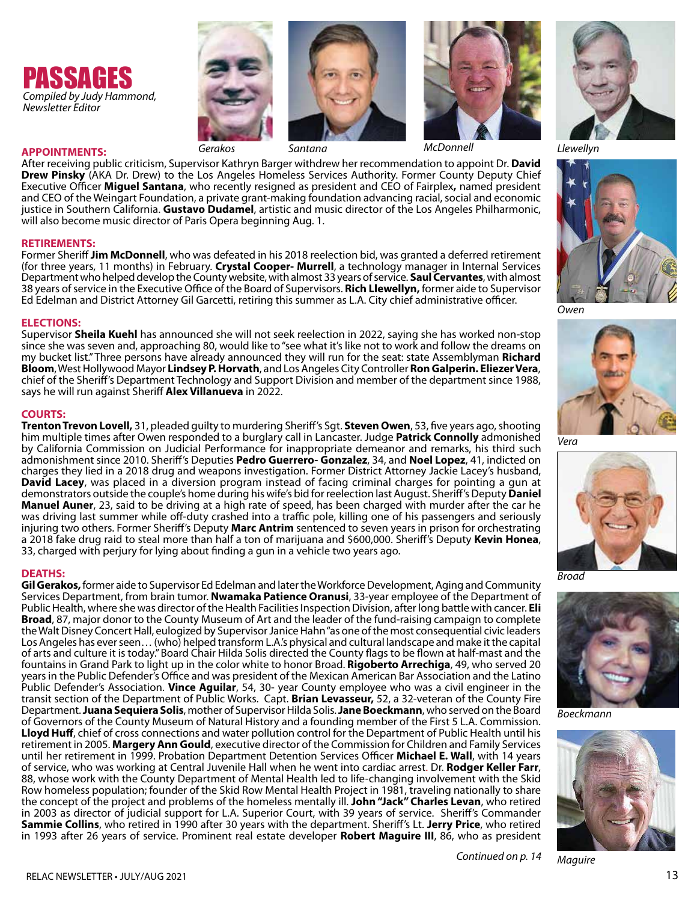







After receiving public criticism, Supervisor Kathryn Barger withdrew her recommendation to appoint Dr. **David Drew Pinsky** (AKA Dr. Drew) to the Los Angeles Homeless Services Authority. Former County Deputy Chief Executive Officer **Miguel Santana**, who recently resigned as president and CEO of Fairplex**,** named president and CEO of the Weingart Foundation, a private grant-making foundation advancing racial, social and economic justice in Southern California. **Gustavo Dudamel**, artistic and music director of the Los Angeles Philharmonic, will also become music director of Paris Opera beginning Aug. 1.

#### **RETIREMENTS:**

**APPOINTMENTS:**

Former Sheriff **Jim McDonnell**, who was defeated in his 2018 reelection bid, was granted a deferred retirement (for three years, 11 months) in February. **Crystal Cooper- Murrell**, a technology manager in Internal Services Department who helped develop the County website, with almost 33 years of service. **Saul Cervantes**, with almost 38 years of service in the Executive Office of the Board of Supervisors. **Rich Llewellyn,** former aide to Supervisor Ed Edelman and District Attorney Gil Garcetti, retiring this summer as L.A. City chief administrative officer.

#### **ELECTIONS:**

Supervisor **Sheila Kuehl** has announced she will not seek reelection in 2022, saying she has worked non-stop since she was seven and, approaching 80, would like to "see what it's like not to work and follow the dreams on my bucket list." Three persons have already announced they will run for the seat: state Assemblyman **Richard**  chief of the Sheriff's Department Technology and Support Division and member of the department since 1988, says he will run against Sheriff **Alex Villanueva** in 2022.

**COURTS: Trenton Trevon Lovell,** 31, pleaded guilty to murdering Sheriff's Sgt. **Steven Owen**, 53, five years ago, shooting him multiple times after Owen responded to a burglary call in Lancaster. Judge **Patrick Connolly** admonished by California Commission on Judicial Performance for inappropriate demeanor and remarks, his third such admonishment since 2010. Sheriff's Deputies **Pedro Guerrero- Gonzalez**, 34, and **Noel Lopez**, 41, indicted on charges they lied in a 2018 drug and weapons investigation. Former District Attorney Jackie Lacey's husband, David Lacey, was placed in a diversion program instead of facing criminal charges for pointing a gun at demonstrators outside the couple's home during his wife's bid for reelection last August. Sheriff's Deputy **Daniel Manuel Auner**, 23, said to be driving at a high rate of speed, has been charged with murder after the car he was driving last summer while off-duty crashed into a traffic pole, killing one of his passengers and seriously injuring two others. Former Sheriff's Deputy **Marc Antrim** sentenced to seven years in prison for orchestrating a 2018 fake drug raid to steal more than half a ton of marijuana and \$600,000. Sheriff's Deputy **Kevin Honea**, 33, charged with perjury for lying about finding a gun in a vehicle two years ago.

#### **DEATHS:**

**Gil Gerakos,** former aide to Supervisor Ed Edelman and later the Workforce Development, Aging and Community Services Department, from brain tumor. **Nwamaka Patience Oranusi**, 33-year employee of the Department of Public Health, where she was director of the Health Facilities Inspection Division, after long battle with cancer. **Eli Broad**, 87, major donor to the County Museum of Art and the leader of the fund-raising campaign to complete the Walt Disney Concert Hall, eulogized by Supervisor Janice Hahn "as one of the most consequential civic leaders Los Angeles has ever seen… (who) helped transform L.A.'s physical and cultural landscape and make it the capital of arts and culture it is today." Board Chair Hilda Solis directed the County flags to be flown at half-mast and the fountains in Grand Park to light up in the color white to honor Broad. **Rigoberto Arrechiga**, 49, who served 20 years in the Public Defender's Office and was president of the Mexican American Bar Association and the Latino Public Defender's Association. **Vince Aguilar**, 54, 30- year County employee who was a civil engineer in the transit section of the Department of Public Works. Capt. **Brian Levasseur,** 52, a 32-veteran of the County Fire Department. **Juana Sequiera Solis**, mother of Supervisor Hilda Solis. **Jane Boeckmann**, who served on the Board of Governors of the County Museum of Natural History and a founding member of the First 5 L.A. Commission. **Lloyd Huff**, chief of cross connections and water pollution control for the Department of Public Health until his retirement in 2005. **Margery Ann Gould**, executive director of the Commission for Children and Family Services until her retirement in 1999. Probation Department Detention Services Officer **Michael E. Wall**, with 14 years of service, who was working at Central Juvenile Hall when he went into cardiac arrest. Dr. **Rodger Keller Farr**, 88, whose work with the County Department of Mental Health led to life-changing involvement with the Skid Row homeless population; founder of the Skid Row Mental Health Project in 1981, traveling nationally to share the concept of the project and problems of the homeless mentally ill. **John "Jack" Charles Levan**, who retired in 2003 as director of judicial support for L.A. Superior Court, with 39 years of service. Sheriff's Commander **Sammie Collins**, who retired in 1990 after 30 years with the department. Sheriff's Lt. **Jerry Price**, who retired in 1993 after 26 years of service. Prominent real estate developer **Robert Maguire III**, 86, who as president





*Owen*



*Vera* 



*Broad* 



*Boeckmann* 



*Continued on p. 14 Maguire*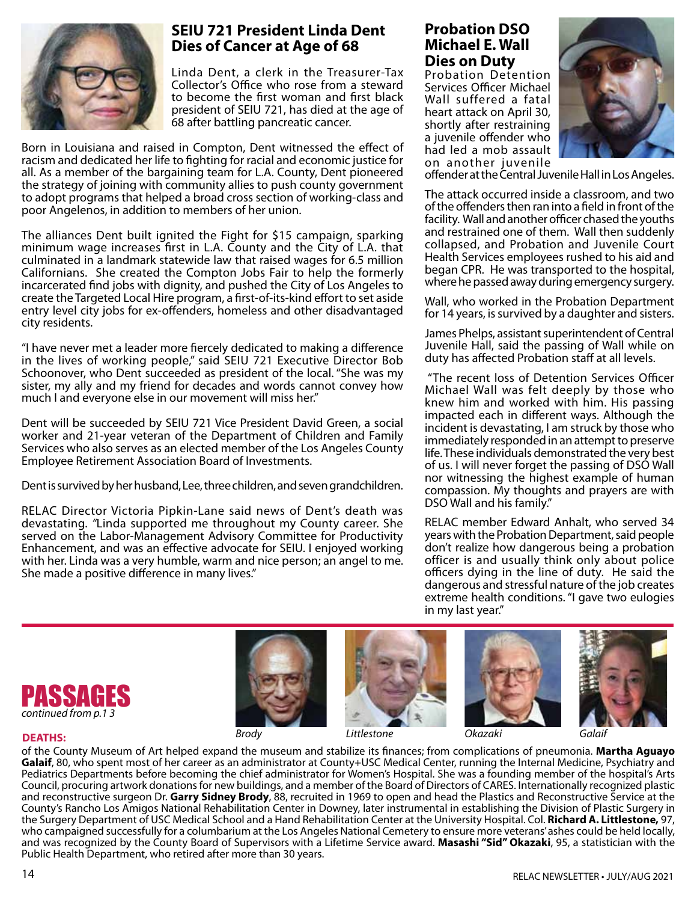

# **SEIU 721 President Linda Dent Dies of Cancer at Age of 68**

Linda Dent, a clerk in the Treasurer-Tax Collector's Office who rose from a steward to become the first woman and first black president of SEIU 721, has died at the age of 68 after battling pancreatic cancer.

Born in Louisiana and raised in Compton, Dent witnessed the effect of racism and dedicated her life to fighting for racial and economic justice for all. As a member of the bargaining team for L.A. County, Dent pioneered the strategy of joining with community allies to push county government to adopt programs that helped a broad cross section of working-class and poor Angelenos, in addition to members of her union.

The alliances Dent built ignited the Fight for \$15 campaign, sparking minimum wage increases first in L.A. County and the City of L.A. that culminated in a landmark statewide law that raised wages for 6.5 million Californians. She created the Compton Jobs Fair to help the formerly incarcerated find jobs with dignity, and pushed the City of Los Angeles to create the Targeted Local Hire program, a first-of-its-kind effort to set aside entry level city jobs for ex-offenders, homeless and other disadvantaged city residents.

"I have never met a leader more fiercely dedicated to making a difference in the lives of working people," said SEIU 721 Executive Director Bob Schoonover, who Dent succeeded as president of the local. "She was my sister, my ally and my friend for decades and words cannot convey how much I and everyone else in our movement will miss her."

Dent will be succeeded by SEIU 721 Vice President David Green, a social worker and 21-year veteran of the Department of Children and Family Services who also serves as an elected member of the Los Angeles County Employee Retirement Association Board of Investments.

Dent is survived by her husband, Lee, three children, and seven grandchildren.

RELAC Director Victoria Pipkin-Lane said news of Dent's death was devastating. *"*Linda supported me throughout my County career. She served on the Labor-Management Advisory Committee for Productivity Enhancement, and was an effective advocate for SEIU. I enjoyed working with her. Linda was a very humble, warm and nice person; an angel to me. She made a positive difference in many lives."

# **Probation DSO Michael E. Wall Dies on Duty**

Probation Detention Services Officer Michael Wall suffered a fatal heart attack on April 30, shortly after restraining a juvenile offender who had led a mob assault on another juvenile



offender at the Central Juvenile Hall in Los Angeles.

The attack occurred inside a classroom, and two of the offenders then ran into a field in front of the facility. Wall and another officer chased the youths and restrained one of them. Wall then suddenly collapsed, and Probation and Juvenile Court Health Services employees rushed to his aid and began CPR. He was transported to the hospital, where he passed away during emergency surgery.

Wall, who worked in the Probation Department for 14 years, is survived by a daughter and sisters.

James Phelps, assistant superintendent of Central Juvenile Hall, said the passing of Wall while on duty has affected Probation staff at all levels.

 "The recent loss of Detention Services Officer Michael Wall was felt deeply by those who knew him and worked with him. His passing impacted each in different ways. Although the incident is devastating, I am struck by those who immediately responded in an attempt to preserve life. These individuals demonstrated the very best of us. I will never forget the passing of DSO Wall nor witnessing the highest example of human compassion. My thoughts and prayers are with DSO Wall and his family."

RELAC member Edward Anhalt, who served 34 years with the Probation Department, said people don't realize how dangerous being a probation officer is and usually think only about police officers dying in the line of duty. He said the dangerous and stressful nature of the job creates extreme health conditions. "I gave two eulogies in my last year."











**DEATHS:** 

of the County Museum of Art helped expand the museum and stabilize its finances; from complications of pneumonia. **Martha Aguayo Galaif**, 80, who spent most of her career as an administrator at County+USC Medical Center, running the Internal Medicine, Psychiatry and Pediatrics Departments before becoming the chief administrator for Women's Hospital. She was a founding member of the hospital's Arts Council, procuring artwork donations for new buildings, and a member of the Board of Directors of CARES. Internationally recognized plastic and reconstructive surgeon Dr. **Garry Sidney Brody**, 88, recruited in 1969 to open and head the Plastics and Reconstructive Service at the County's Rancho Los Amigos National Rehabilitation Center in Downey, later instrumental in establishing the Division of Plastic Surgery in the Surgery Department of USC Medical School and a Hand Rehabilitation Center at the University Hospital. Col. **Richard A. Littlestone,** 97, who campaigned successfully for a columbarium at the Los Angeles National Cemetery to ensure more veterans' ashes could be held locally, and was recognized by the County Board of Supervisors with a Lifetime Service award. **Masashi "Sid" Okazaki**, 95, a statistician with the Public Health Department, who retired after more than 30 years.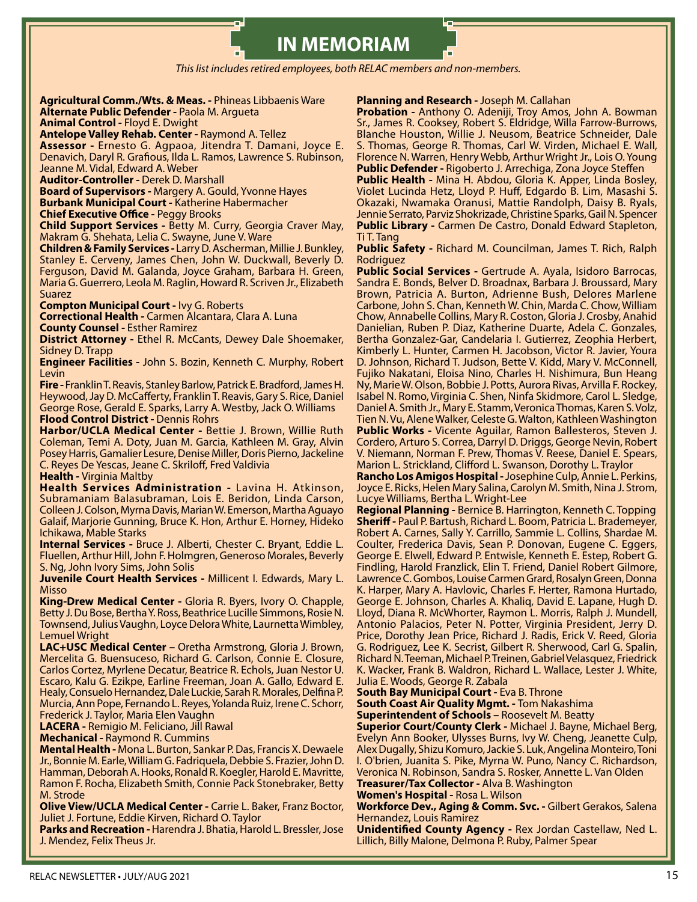# **IN MEMORIAM**

*This list includes retired employees, both RELAC members and non-members.*

#### **Agricultural Comm./Wts. & Meas. -** Phineas Libbaenis Ware **Alternate Public Defender -** Paola M. Argueta

**Animal Control -** Floyd E. Dwight

**Antelope Valley Rehab. Center -** Raymond A. Tellez

**Assessor -** Ernesto G. Agpaoa, Jitendra T. Damani, Joyce E. Denavich, Daryl R. Grafious, Ilda L. Ramos, Lawrence S. Rubinson, Jeanne M. Vidal, Edward A. Weber

**Auditor-Controller -** Derek D. Marshall

**Board of Supervisors -** Margery A. Gould, Yvonne Hayes **Burbank Municipal Court -** Katherine Habermacher **Chief Executive Office -** Peggy Brooks

**Child Support Services -** Betty M. Curry, Georgia Craver May, Makram G. Shehata, Lelia C. Swayne, June V. Ware

**Children & Family Services -** Larry D. Ascherman, Millie J. Bunkley, Stanley E. Cerveny, James Chen, John W. Duckwall, Beverly D. Ferguson, David M. Galanda, Joyce Graham, Barbara H. Green, Maria G. Guerrero, Leola M. Raglin, Howard R. Scriven Jr., Elizabeth Suarez

**Compton Municipal Court -** Ivy G. Roberts **Correctional Health -** Carmen Alcantara, Clara A. Luna

**County Counsel -** Esther Ramirez

**District Attorney -** Ethel R. McCants, Dewey Dale Shoemaker, Sidney D. Trapp

**Engineer Facilities -** John S. Bozin, Kenneth C. Murphy, Robert Levin

**Fire -** Franklin T. Reavis, Stanley Barlow, Patrick E. Bradford, James H. Heywood, Jay D. McCafferty, Franklin T. Reavis, Gary S. Rice, Daniel George Rose, Gerald E. Sparks, Larry A. Westby, Jack O. Williams **Flood Control District -** Dennis Rohrs

**Harbor/UCLA Medical Center -** Bettie J. Brown, Willie Ruth Coleman, Temi A. Doty, Juan M. Garcia, Kathleen M. Gray, Alvin Posey Harris, Gamalier Lesure, Denise Miller, Doris Pierno, Jackeline C. Reyes De Yescas, Jeane C. Skriloff, Fred Valdivia

#### **Health -** Virginia Maltby

**Health Services Administration -** Lavina H. Atkinson, Subramaniam Balasubraman, Lois E. Beridon, Linda Carson, Colleen J. Colson, Myrna Davis, Marian W. Emerson, Martha Aguayo Galaif, Marjorie Gunning, Bruce K. Hon, Arthur E. Horney, Hideko Ichikawa, Mable Starks

**Internal Services -** Bruce J. Alberti, Chester C. Bryant, Eddie L. Fluellen, Arthur Hill, John F. Holmgren, Generoso Morales, Beverly S. Ng, John Ivory Sims, John Solis

**Juvenile Court Health Services -** Millicent I. Edwards, Mary L. Misso

**King-Drew Medical Center -** Gloria R. Byers, Ivory O. Chapple, Betty J. Du Bose, Bertha Y. Ross, Beathrice Lucille Simmons, Rosie N. Townsend, Julius Vaughn, Loyce Delora White, Laurnetta Wimbley, Lemuel Wright

**LAC+USC Medical Center –** Oretha Armstrong, Gloria J. Brown, Mercelita G. Buensuceso, Richard G. Carlson, Connie E. Closure, Carlos Cortez, Myrlene Decatur, Beatrice R. Echols, Juan Nestor U. Escaro, Kalu G. Ezikpe, Earline Freeman, Joan A. Gallo, Edward E. Healy, Consuelo Hernandez, Dale Luckie, Sarah R. Morales, Delfina P. Murcia, Ann Pope, Fernando L. Reyes, Yolanda Ruiz, Irene C. Schorr, Frederick J. Taylor, Maria Elen Vaughn

**LACERA -** Remigio M. Feliciano, Jill Rawal

**Mechanical -** Raymond R. Cummins

**Mental Health -** Mona L. Burton, Sankar P. Das, Francis X. Dewaele Jr., Bonnie M. Earle, William G. Fadriquela, Debbie S. Frazier, John D. Hamman, Deborah A. Hooks, Ronald R. Koegler, Harold E. Mavritte, Ramon F. Rocha, Elizabeth Smith, Connie Pack Stonebraker, Betty M. Strode

**Olive View/UCLA Medical Center -** Carrie L. Baker, Franz Boctor, Juliet J. Fortune, Eddie Kirven, Richard O. Taylor

**Parks and Recreation -** Harendra J. Bhatia, Harold L. Bressler, Jose J. Mendez, Felix Theus Jr.

#### **Planning and Research -** Joseph M. Callahan

**Probation -** Anthony O. Adeniji, Troy Amos, John A. Bowman Sr., James R. Cooksey, Robert S. Eldridge, Willa Farrow-Burrows, Blanche Houston, Willie J. Neusom, Beatrice Schneider, Dale S. Thomas, George R. Thomas, Carl W. Virden, Michael E. Wall, Florence N. Warren, Henry Webb, Arthur Wright Jr., Lois O. Young **Public Defender -** Rigoberto J. Arrechiga, Zona Joyce Steffen

**Public Health -** Mina H. Abdou, Gloria K. Apper, Linda Bosley, Violet Lucinda Hetz, Lloyd P. Huff, Edgardo B. Lim, Masashi S. Okazaki, Nwamaka Oranusi, Mattie Randolph, Daisy B. Ryals, Jennie Serrato, Parviz Shokrizade, Christine Sparks, Gail N. Spencer **Public Library -** Carmen De Castro, Donald Edward Stapleton, Ti T. Tang

**Public Safety -** Richard M. Councilman, James T. Rich, Ralph Rodriguez

**Public Social Services -** Gertrude A. Ayala, Isidoro Barrocas, Sandra E. Bonds, Belver D. Broadnax, Barbara J. Broussard, Mary Brown, Patricia A. Burton, Adrienne Bush, Delores Marlene Carbone, John S. Chan, Kenneth W. Chin, Marda C. Chow, William Chow, Annabelle Collins, Mary R. Coston, Gloria J. Crosby, Anahid Danielian, Ruben P. Diaz, Katherine Duarte, Adela C. Gonzales, Bertha Gonzalez-Gar, Candelaria I. Gutierrez, Zeophia Herbert, Kimberly L. Hunter, Carmen H. Jacobson, Victor R. Javier, Youra D. Johnson, Richard T. Judson, Bette V. Kidd, Mary V. McConnell, Fujiko Nakatani, Eloisa Nino, Charles H. Nishimura, Bun Heang Ny, Marie W. Olson, Bobbie J. Potts, Aurora Rivas, Arvilla F. Rockey, Isabel N. Romo, Virginia C. Shen, Ninfa Skidmore, Carol L. Sledge, Daniel A. Smith Jr., Mary E. Stamm, Veronica Thomas, Karen S. Volz, Tien N. Vu, Alene Walker, Celeste G. Walton, Kathleen Washington **Public Works -** Vicente Aguilar, Ramon Ballesteros, Steven J. Cordero, Arturo S. Correa, Darryl D. Driggs, George Nevin, Robert V. Niemann, Norman F. Prew, Thomas V. Reese, Daniel E. Spears,

Marion L. Strickland, Clifford L. Swanson, Dorothy L. Traylor **Rancho Los Amigos Hospital -** Josephine Culp, Annie L. Perkins, Joyce E. Ricks, Helen Mary Salina, Carolyn M. Smith, Nina J. Strom, Lucye Williams, Bertha L. Wright-Lee

**Regional Planning -** Bernice B. Harrington, Kenneth C. Topping **Sheriff -** Paul P. Bartush, Richard L. Boom, Patricia L. Brademeyer, Robert A. Carnes, Sally Y. Carrillo, Sammie L. Collins, Shardae M. Coulter, Frederica Davis, Sean P. Donovan, Eugene C. Eggers, George E. Elwell, Edward P. Entwisle, Kenneth E. Estep, Robert G. Findling, Harold Franzlick, Elin T. Friend, Daniel Robert Gilmore, Lawrence C. Gombos, Louise Carmen Grard, Rosalyn Green, Donna K. Harper, Mary A. Havlovic, Charles F. Herter, Ramona Hurtado, George E. Johnson, Charles A. Khaliq, David E. Lapane, Hugh D. Lloyd, Diana R. McWhorter, Raymon L. Morris, Ralph J. Mundell, Antonio Palacios, Peter N. Potter, Virginia President, Jerry D. Price, Dorothy Jean Price, Richard J. Radis, Erick V. Reed, Gloria G. Rodriguez, Lee K. Secrist, Gilbert R. Sherwood, Carl G. Spalin, Richard N. Teeman, Michael P. Treinen, Gabriel Velasquez, Friedrick K. Wacker, Frank B. Waldron, Richard L. Wallace, Lester J. White, Julia E. Woods, George R. Zabala

**South Bay Municipal Court - Eva B. Throne** 

**South Coast Air Quality Mgmt. -** Tom Nakashima **Superintendent of Schools –** Roosevelt M. Beatty

**Superior Court/County Clerk -** Michael J. Bayne, Michael Berg, Evelyn Ann Booker, Ulysses Burns, Ivy W. Cheng, Jeanette Culp, Alex Dugally, Shizu Komuro, Jackie S. Luk, Angelina Monteiro, Toni I. O'brien, Juanita S. Pike, Myrna W. Puno, Nancy C. Richardson, Veronica N. Robinson, Sandra S. Rosker, Annette L. Van Olden **Treasurer/Tax Collector -** Alva B. Washington

#### **Women's Hospital -** Rosa L. Wilson

**Workforce Dev., Aging & Comm. Svc. -** Gilbert Gerakos, Salena Hernandez, Louis Ramirez

**Unidentified County Agency -** Rex Jordan Castellaw, Ned L. Lillich, Billy Malone, Delmona P. Ruby, Palmer Spear